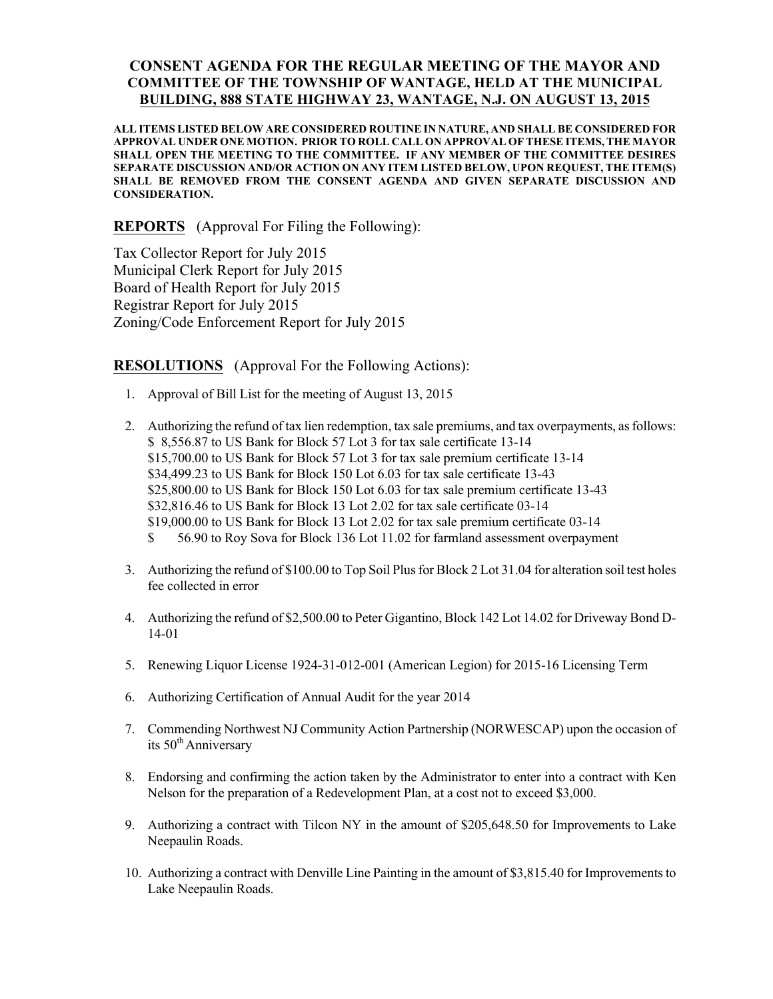## CONSENT AGENDA FOR THE REGULAR MEETING OF THE MAYOR AND COMMITTEE OF THE TOWNSHIP OF WANTAGE, HELD AT THE MUNICIPAL BUILDING, 888 STATE HIGHWAY 23, WANTAGE, N.J. ON AUGUST 13, 2015

ALL ITEMS LISTED BELOW ARE CONSIDERED ROUTINE IN NATURE, AND SHALL BE CONSIDERED FOR APPROVAL UNDER ONE MOTION. PRIOR TO ROLL CALL ON APPROVAL OF THESE ITEMS, THE MAYOR SHALL OPEN THE MEETING TO THE COMMITTEE. IF ANY MEMBER OF THE COMMITTEE DESIRES SEPARATE DISCUSSION AND/OR ACTION ON ANY ITEM LISTED BELOW, UPON REQUEST, THE ITEM(S) SHALL BE REMOVED FROM THE CONSENT AGENDA AND GIVEN SEPARATE DISCUSSION AND CONSIDERATION.

REPORTS (Approval For Filing the Following):

Tax Collector Report for July 2015 Municipal Clerk Report for July 2015 Board of Health Report for July 2015 Registrar Report for July 2015 Zoning/Code Enforcement Report for July 2015

RESOLUTIONS (Approval For the Following Actions):

- 1. Approval of Bill List for the meeting of August 13, 2015
- 2. Authorizing the refund of tax lien redemption, tax sale premiums, and tax overpayments, as follows: \$ 8,556.87 to US Bank for Block 57 Lot 3 for tax sale certificate 13-14 \$15,700.00 to US Bank for Block 57 Lot 3 for tax sale premium certificate 13-14 \$34,499.23 to US Bank for Block 150 Lot 6.03 for tax sale certificate 13-43 \$25,800.00 to US Bank for Block 150 Lot 6.03 for tax sale premium certificate 13-43 \$32,816.46 to US Bank for Block 13 Lot 2.02 for tax sale certificate 03-14 \$19,000.00 to US Bank for Block 13 Lot 2.02 for tax sale premium certificate 03-14 \$ 56.90 to Roy Sova for Block 136 Lot 11.02 for farmland assessment overpayment
- 3. Authorizing the refund of \$100.00 to Top Soil Plus for Block 2 Lot 31.04 for alteration soil test holes fee collected in error
- 4. Authorizing the refund of \$2,500.00 to Peter Gigantino, Block 142 Lot 14.02 for Driveway Bond D-14-01
- 5. Renewing Liquor License 1924-31-012-001 (American Legion) for 2015-16 Licensing Term
- 6. Authorizing Certification of Annual Audit for the year 2014
- 7. Commending Northwest NJ Community Action Partnership (NORWESCAP) upon the occasion of its 50<sup>th</sup> Anniversary
- 8. Endorsing and confirming the action taken by the Administrator to enter into a contract with Ken Nelson for the preparation of a Redevelopment Plan, at a cost not to exceed \$3,000.
- 9. Authorizing a contract with Tilcon NY in the amount of \$205,648.50 for Improvements to Lake Neepaulin Roads.
- 10. Authorizing a contract with Denville Line Painting in the amount of \$3,815.40 for Improvements to Lake Neepaulin Roads.